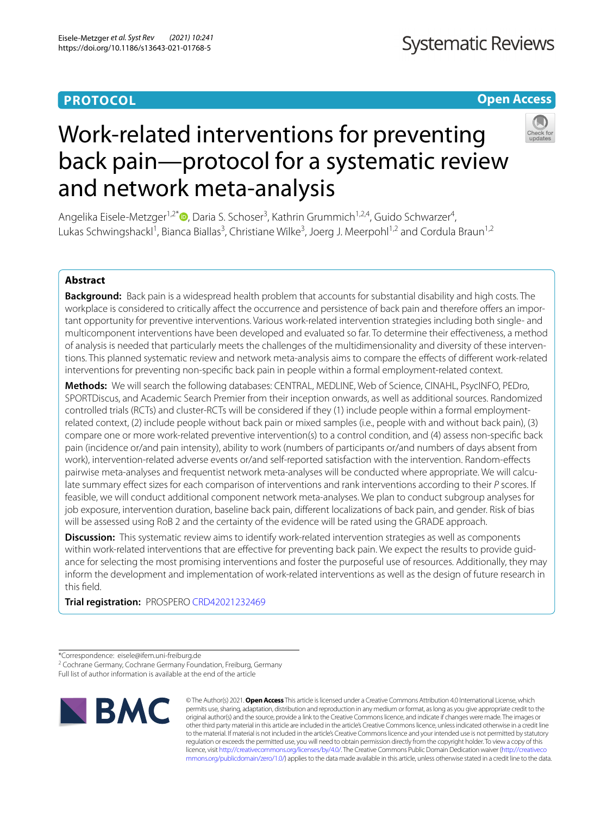# **PROTOCOL**

# **Open Access**



# Work-related interventions for preventing back pain—protocol for a systematic review and network meta‑analysis

Angelika Eisele-Metzger<sup>1,2[\\*](http://orcid.org/0000-0002-7405-4584)</sup>®, Daria S. Schoser<sup>3</sup>, Kathrin Grummich<sup>1,2,4</sup>, Guido Schwarzer<sup>4</sup>, Lukas Schwingshackl<sup>1</sup>, Bianca Biallas<sup>3</sup>, Christiane Wilke<sup>3</sup>, Joerg J. Meerpohl<sup>1,2</sup> and Cordula Braun<sup>1,2</sup>

# **Abstract**

**Background:** Back pain is a widespread health problem that accounts for substantial disability and high costs. The workplace is considered to critically affect the occurrence and persistence of back pain and therefore offers an important opportunity for preventive interventions. Various work-related intervention strategies including both single- and multicomponent interventions have been developed and evaluated so far. To determine their efectiveness, a method of analysis is needed that particularly meets the challenges of the multidimensionality and diversity of these interventions. This planned systematic review and network meta-analysis aims to compare the efects of diferent work-related interventions for preventing non-specifc back pain in people within a formal employment-related context.

**Methods:** We will search the following databases: CENTRAL, MEDLINE, Web of Science, CINAHL, PsycINFO, PEDro, SPORTDiscus, and Academic Search Premier from their inception onwards, as well as additional sources. Randomized controlled trials (RCTs) and cluster-RCTs will be considered if they (1) include people within a formal employmentrelated context, (2) include people without back pain or mixed samples (i.e., people with and without back pain), (3) compare one or more work-related preventive intervention(s) to a control condition, and (4) assess non-specifc back pain (incidence or/and pain intensity), ability to work (numbers of participants or/and numbers of days absent from work), intervention-related adverse events or/and self-reported satisfaction with the intervention. Random-efects pairwise meta-analyses and frequentist network meta-analyses will be conducted where appropriate. We will calculate summary efect sizes for each comparison of interventions and rank interventions according to their *P* scores. If feasible, we will conduct additional component network meta-analyses. We plan to conduct subgroup analyses for job exposure, intervention duration, baseline back pain, diferent localizations of back pain, and gender. Risk of bias will be assessed using RoB 2 and the certainty of the evidence will be rated using the GRADE approach.

**Discussion:** This systematic review aims to identify work-related intervention strategies as well as components within work-related interventions that are effective for preventing back pain. We expect the results to provide guidance for selecting the most promising interventions and foster the purposeful use of resources. Additionally, they may inform the development and implementation of work-related interventions as well as the design of future research in this feld.

**Trial registration:** PROSPERO [CRD42021232469](https://www.crd.york.ac.uk/prospero/display_record.php?ID=CRD42021232469)

\*Correspondence: eisele@ifem.uni-freiburg.de

Full list of author information is available at the end of the article



© The Author(s) 2021. **Open Access** This article is licensed under a Creative Commons Attribution 4.0 International License, which permits use, sharing, adaptation, distribution and reproduction in any medium or format, as long as you give appropriate credit to the original author(s) and the source, provide a link to the Creative Commons licence, and indicate if changes were made. The images or other third party material in this article are included in the article's Creative Commons licence, unless indicated otherwise in a credit line to the material. If material is not included in the article's Creative Commons licence and your intended use is not permitted by statutory regulation or exceeds the permitted use, you will need to obtain permission directly from the copyright holder. To view a copy of this licence, visit [http://creativecommons.org/licenses/by/4.0/.](http://creativecommons.org/licenses/by/4.0/) The Creative Commons Public Domain Dedication waiver ([http://creativeco](http://creativecommons.org/publicdomain/zero/1.0/) [mmons.org/publicdomain/zero/1.0/](http://creativecommons.org/publicdomain/zero/1.0/)) applies to the data made available in this article, unless otherwise stated in a credit line to the data.

<sup>&</sup>lt;sup>2</sup> Cochrane Germany, Cochrane Germany Foundation, Freiburg, Germany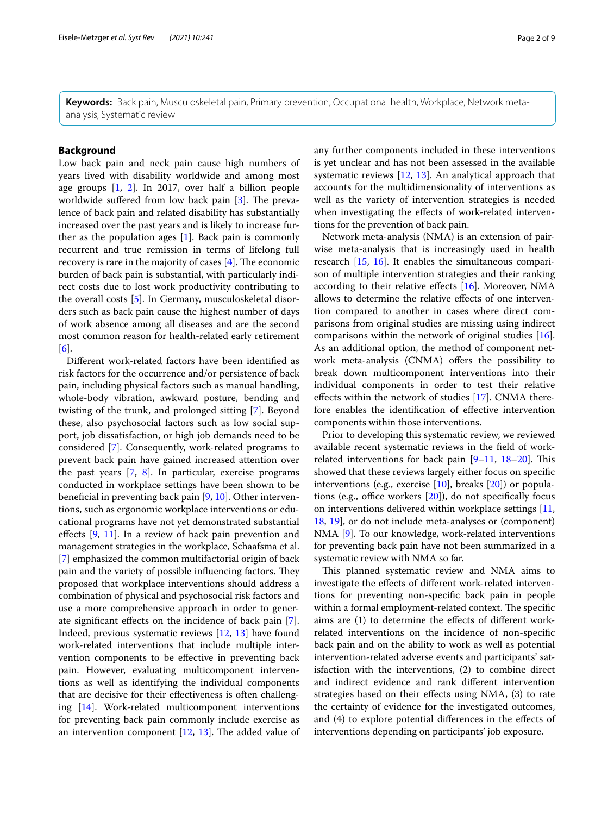**Keywords:** Back pain, Musculoskeletal pain, Primary prevention, Occupational health, Workplace, Network metaanalysis, Systematic review

# **Background**

Low back pain and neck pain cause high numbers of years lived with disability worldwide and among most age groups [[1](#page-7-0), [2\]](#page-7-1). In 2017, over half a billion people worldwide suffered from low back pain  $[3]$  $[3]$ . The prevalence of back pain and related disability has substantially increased over the past years and is likely to increase further as the population ages  $[1]$  $[1]$ . Back pain is commonly recurrent and true remission in terms of lifelong full recovery is rare in the majority of cases  $[4]$  $[4]$ . The economic burden of back pain is substantial, with particularly indirect costs due to lost work productivity contributing to the overall costs [\[5\]](#page-7-4). In Germany, musculoskeletal disorders such as back pain cause the highest number of days of work absence among all diseases and are the second most common reason for health-related early retirement [[6\]](#page-7-5).

Diferent work-related factors have been identifed as risk factors for the occurrence and/or persistence of back pain, including physical factors such as manual handling, whole-body vibration, awkward posture, bending and twisting of the trunk, and prolonged sitting [[7\]](#page-7-6). Beyond these, also psychosocial factors such as low social support, job dissatisfaction, or high job demands need to be considered [\[7](#page-7-6)]. Consequently, work-related programs to prevent back pain have gained increased attention over the past years [[7,](#page-7-6) [8\]](#page-7-7). In particular, exercise programs conducted in workplace settings have been shown to be benefcial in preventing back pain [\[9](#page-7-8), [10](#page-7-9)]. Other interventions, such as ergonomic workplace interventions or educational programs have not yet demonstrated substantial effects [[9,](#page-7-8) [11\]](#page-7-10). In a review of back pain prevention and management strategies in the workplace, Schaafsma et al. [[7\]](#page-7-6) emphasized the common multifactorial origin of back pain and the variety of possible influencing factors. They proposed that workplace interventions should address a combination of physical and psychosocial risk factors and use a more comprehensive approach in order to generate signifcant efects on the incidence of back pain [\[7](#page-7-6)]. Indeed, previous systematic reviews [[12,](#page-7-11) [13\]](#page-7-12) have found work-related interventions that include multiple intervention components to be efective in preventing back pain. However, evaluating multicomponent interventions as well as identifying the individual components that are decisive for their efectiveness is often challenging [[14\]](#page-7-13). Work-related multicomponent interventions for preventing back pain commonly include exercise as an intervention component  $[12, 13]$  $[12, 13]$  $[12, 13]$  $[12, 13]$  $[12, 13]$ . The added value of any further components included in these interventions is yet unclear and has not been assessed in the available systematic reviews [[12](#page-7-11), [13\]](#page-7-12). An analytical approach that accounts for the multidimensionality of interventions as well as the variety of intervention strategies is needed when investigating the effects of work-related interventions for the prevention of back pain.

Network meta-analysis (NMA) is an extension of pairwise meta-analysis that is increasingly used in health research [\[15](#page-7-14), [16](#page-7-15)]. It enables the simultaneous comparison of multiple intervention strategies and their ranking according to their relative effects  $[16]$  $[16]$ . Moreover, NMA allows to determine the relative efects of one intervention compared to another in cases where direct comparisons from original studies are missing using indirect comparisons within the network of original studies [\[16](#page-7-15)]. As an additional option, the method of component network meta-analysis (CNMA) offers the possibility to break down multicomponent interventions into their individual components in order to test their relative efects within the network of studies [[17\]](#page-7-16). CNMA therefore enables the identifcation of efective intervention components within those interventions.

Prior to developing this systematic review, we reviewed available recent systematic reviews in the feld of workrelated interventions for back pain  $[9-11, 18-20]$  $[9-11, 18-20]$  $[9-11, 18-20]$ . This showed that these reviews largely either focus on specifc interventions (e.g., exercise [[10\]](#page-7-9), breaks [\[20](#page-7-18)]) or populations (e.g., office workers  $[20]$  $[20]$  $[20]$ ), do not specifically focus on interventions delivered within workplace settings [[11](#page-7-10), [18,](#page-7-17) [19\]](#page-7-19), or do not include meta-analyses or (component) NMA [[9\]](#page-7-8). To our knowledge, work-related interventions for preventing back pain have not been summarized in a systematic review with NMA so far.

This planned systematic review and NMA aims to investigate the efects of diferent work-related interventions for preventing non-specifc back pain in people within a formal employment-related context. The specific aims are (1) to determine the efects of diferent workrelated interventions on the incidence of non-specifc back pain and on the ability to work as well as potential intervention-related adverse events and participants' satisfaction with the interventions, (2) to combine direct and indirect evidence and rank diferent intervention strategies based on their efects using NMA, (3) to rate the certainty of evidence for the investigated outcomes, and (4) to explore potential diferences in the efects of interventions depending on participants' job exposure.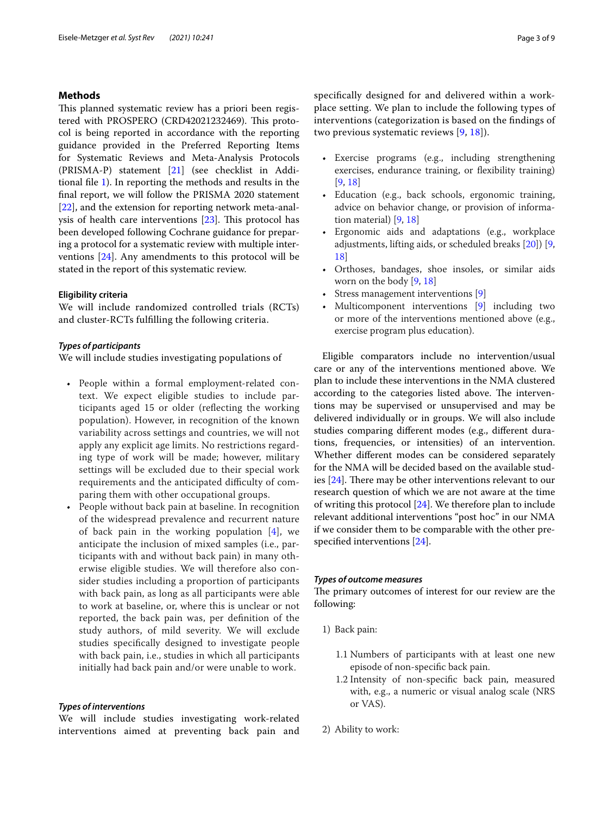# **Methods**

This planned systematic review has a priori been registered with PROSPERO (CRD42021232469). This protocol is being reported in accordance with the reporting guidance provided in the Preferred Reporting Items for Systematic Reviews and Meta-Analysis Protocols (PRISMA-P) statement [\[21\]](#page-7-20) (see checklist in Additional fle [1](#page-7-21)). In reporting the methods and results in the fnal report, we will follow the PRISMA 2020 statement [[22\]](#page-7-22), and the extension for reporting network meta-anal-ysis of health care interventions [\[23](#page-7-23)]. This protocol has been developed following Cochrane guidance for preparing a protocol for a systematic review with multiple interventions [\[24\]](#page-8-0). Any amendments to this protocol will be stated in the report of this systematic review.

#### **Eligibility criteria**

We will include randomized controlled trials (RCTs) and cluster-RCTs fulflling the following criteria.

#### *Types of participants*

We will include studies investigating populations of

- People within a formal employment-related context. We expect eligible studies to include participants aged 15 or older (refecting the working population). However, in recognition of the known variability across settings and countries, we will not apply any explicit age limits. No restrictions regarding type of work will be made; however, military settings will be excluded due to their special work requirements and the anticipated difficulty of comparing them with other occupational groups.
- People without back pain at baseline. In recognition of the widespread prevalence and recurrent nature of back pain in the working population  $[4]$  $[4]$ , we anticipate the inclusion of mixed samples (i.e., participants with and without back pain) in many otherwise eligible studies. We will therefore also consider studies including a proportion of participants with back pain, as long as all participants were able to work at baseline, or, where this is unclear or not reported, the back pain was, per defnition of the study authors, of mild severity. We will exclude studies specifcally designed to investigate people with back pain, i.e., studies in which all participants initially had back pain and/or were unable to work.

# *Types of interventions*

We will include studies investigating work-related interventions aimed at preventing back pain and specifcally designed for and delivered within a workplace setting. We plan to include the following types of interventions (categorization is based on the fndings of two previous systematic reviews [[9](#page-7-8), [18](#page-7-17)]).

- Exercise programs (e.g., including strengthening exercises, endurance training, or fexibility training) [[9,](#page-7-8) [18\]](#page-7-17)
- Education (e.g., back schools, ergonomic training, advice on behavior change, or provision of information material) [[9,](#page-7-8) [18\]](#page-7-17)
- Ergonomic aids and adaptations (e.g., workplace adjustments, lifting aids, or scheduled breaks [\[20\]](#page-7-18)) [[9](#page-7-8), [18](#page-7-17)]
- Orthoses, bandages, shoe insoles, or similar aids worn on the body [[9](#page-7-8), [18](#page-7-17)]
- Stress management interventions [[9\]](#page-7-8)
- Multicomponent interventions [[9\]](#page-7-8) including two or more of the interventions mentioned above (e.g., exercise program plus education).

Eligible comparators include no intervention/usual care or any of the interventions mentioned above. We plan to include these interventions in the NMA clustered according to the categories listed above. The interventions may be supervised or unsupervised and may be delivered individually or in groups. We will also include studies comparing diferent modes (e.g., diferent durations, frequencies, or intensities) of an intervention. Whether diferent modes can be considered separately for the NMA will be decided based on the available studies  $[24]$  $[24]$ . There may be other interventions relevant to our research question of which we are not aware at the time of writing this protocol [\[24](#page-8-0)]. We therefore plan to include relevant additional interventions "post hoc" in our NMA if we consider them to be comparable with the other prespecifed interventions [\[24\]](#page-8-0).

# *Types of outcome measures*

The primary outcomes of interest for our review are the following:

- 1) Back pain:
	- 1.1 Numbers of participants with at least one new episode of non-specifc back pain.
	- 1.2 Intensity of non-specifc back pain, measured with, e.g., a numeric or visual analog scale (NRS or VAS).
- 2) Ability to work: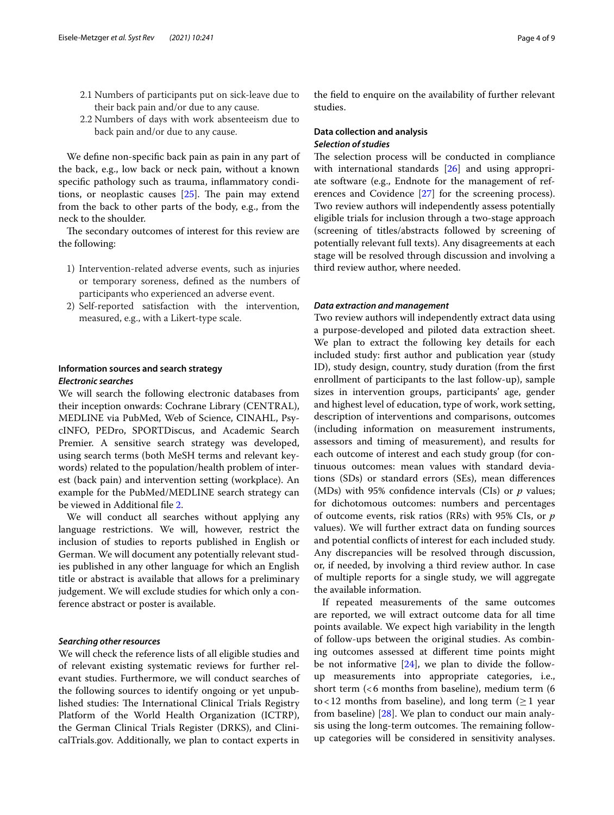- 2.1 Numbers of participants put on sick-leave due to their back pain and/or due to any cause.
- 2.2 Numbers of days with work absenteeism due to back pain and/or due to any cause.

We defne non-specifc back pain as pain in any part of the back, e.g., low back or neck pain, without a known specifc pathology such as trauma, infammatory conditions, or neoplastic causes  $[25]$  $[25]$  $[25]$ . The pain may extend from the back to other parts of the body, e.g., from the neck to the shoulder.

The secondary outcomes of interest for this review are the following:

- 1) Intervention-related adverse events, such as injuries or temporary soreness, defned as the numbers of participants who experienced an adverse event.
- 2) Self-reported satisfaction with the intervention, measured, e.g., with a Likert-type scale.

# **Information sources and search strategy** *Electronic searches*

We will search the following electronic databases from their inception onwards: Cochrane Library (CENTRAL), MEDLINE via PubMed, Web of Science, CINAHL, PsycINFO, PEDro, SPORTDiscus, and Academic Search Premier. A sensitive search strategy was developed, using search terms (both MeSH terms and relevant keywords) related to the population/health problem of interest (back pain) and intervention setting (workplace). An example for the PubMed/MEDLINE search strategy can be viewed in Additional fle [2.](#page-7-24)

We will conduct all searches without applying any language restrictions. We will, however, restrict the inclusion of studies to reports published in English or German. We will document any potentially relevant studies published in any other language for which an English title or abstract is available that allows for a preliminary judgement. We will exclude studies for which only a conference abstract or poster is available.

## *Searching other resources*

We will check the reference lists of all eligible studies and of relevant existing systematic reviews for further relevant studies. Furthermore, we will conduct searches of the following sources to identify ongoing or yet unpublished studies: The International Clinical Trials Registry Platform of the World Health Organization (ICTRP), the German Clinical Trials Register (DRKS), and ClinicalTrials.gov. Additionally, we plan to contact experts in

the feld to enquire on the availability of further relevant studies.

# **Data collection and analysis** *Selection of studies*

The selection process will be conducted in compliance with international standards [[26\]](#page-8-2) and using appropriate software (e.g., Endnote for the management of references and Covidence [\[27\]](#page-8-3) for the screening process). Two review authors will independently assess potentially eligible trials for inclusion through a two-stage approach (screening of titles/abstracts followed by screening of potentially relevant full texts). Any disagreements at each stage will be resolved through discussion and involving a third review author, where needed.

#### *Data extraction and management*

Two review authors will independently extract data using a purpose-developed and piloted data extraction sheet. We plan to extract the following key details for each included study: frst author and publication year (study ID), study design, country, study duration (from the frst enrollment of participants to the last follow-up), sample sizes in intervention groups, participants' age, gender and highest level of education, type of work, work setting, description of interventions and comparisons, outcomes (including information on measurement instruments, assessors and timing of measurement), and results for each outcome of interest and each study group (for continuous outcomes: mean values with standard deviations (SDs) or standard errors (SEs), mean diferences (MDs) with 95% confdence intervals (CIs) or *p* values; for dichotomous outcomes: numbers and percentages of outcome events, risk ratios (RRs) with 95% CIs, or *p* values). We will further extract data on funding sources and potential conficts of interest for each included study. Any discrepancies will be resolved through discussion, or, if needed, by involving a third review author. In case of multiple reports for a single study, we will aggregate the available information.

If repeated measurements of the same outcomes are reported, we will extract outcome data for all time points available. We expect high variability in the length of follow-ups between the original studies. As combining outcomes assessed at diferent time points might be not informative  $[24]$  $[24]$ , we plan to divide the followup measurements into appropriate categories, i.e., short term (<6 months from baseline), medium term (6 to <12 months from baseline), and long term  $(\geq 1$  year from baseline) [\[28\]](#page-8-4). We plan to conduct our main analysis using the long-term outcomes. The remaining followup categories will be considered in sensitivity analyses.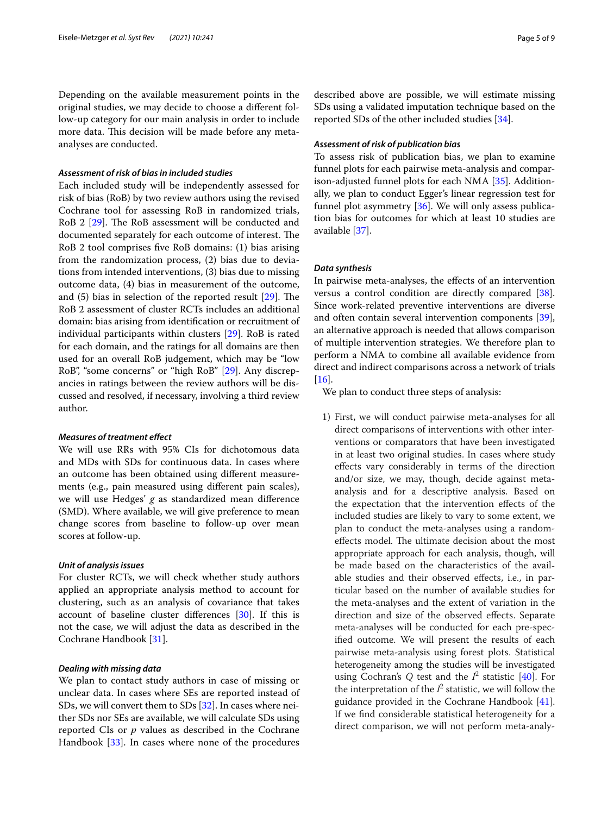Depending on the available measurement points in the original studies, we may decide to choose a diferent follow-up category for our main analysis in order to include more data. This decision will be made before any metaanalyses are conducted.

## *Assessment of risk of bias in included studies*

Each included study will be independently assessed for risk of bias (RoB) by two review authors using the revised Cochrane tool for assessing RoB in randomized trials, RoB 2 [\[29\]](#page-8-5). The RoB assessment will be conducted and documented separately for each outcome of interest. The RoB 2 tool comprises fve RoB domains: (1) bias arising from the randomization process, (2) bias due to deviations from intended interventions, (3) bias due to missing outcome data, (4) bias in measurement of the outcome, and  $(5)$  bias in selection of the reported result  $[29]$  $[29]$  $[29]$ . The RoB 2 assessment of cluster RCTs includes an additional domain: bias arising from identifcation or recruitment of individual participants within clusters [[29](#page-8-5)]. RoB is rated for each domain, and the ratings for all domains are then used for an overall RoB judgement, which may be "low RoB", "some concerns" or "high RoB" [\[29](#page-8-5)]. Any discrepancies in ratings between the review authors will be discussed and resolved, if necessary, involving a third review author.

#### *Measures of treatment efect*

We will use RRs with 95% CIs for dichotomous data and MDs with SDs for continuous data. In cases where an outcome has been obtained using diferent measurements (e.g., pain measured using diferent pain scales), we will use Hedges' *g* as standardized mean diference (SMD). Where available, we will give preference to mean change scores from baseline to follow-up over mean scores at follow-up.

#### *Unit of analysis issues*

For cluster RCTs, we will check whether study authors applied an appropriate analysis method to account for clustering, such as an analysis of covariance that takes account of baseline cluster diferences [[30](#page-8-6)]. If this is not the case, we will adjust the data as described in the Cochrane Handbook [[31\]](#page-8-7).

# *Dealing with missing data*

We plan to contact study authors in case of missing or unclear data. In cases where SEs are reported instead of SDs, we will convert them to SDs [[32\]](#page-8-8). In cases where neither SDs nor SEs are available, we will calculate SDs using reported CIs or *p* values as described in the Cochrane Handbook [[33\]](#page-8-9). In cases where none of the procedures

described above are possible, we will estimate missing SDs using a validated imputation technique based on the reported SDs of the other included studies [[34\]](#page-8-10).

# *Assessment of risk of publication bias*

To assess risk of publication bias, we plan to examine funnel plots for each pairwise meta-analysis and comparison-adjusted funnel plots for each NMA [\[35](#page-8-11)]. Additionally, we plan to conduct Egger's linear regression test for funnel plot asymmetry [[36\]](#page-8-12). We will only assess publication bias for outcomes for which at least 10 studies are available [\[37](#page-8-13)].

## *Data synthesis*

In pairwise meta-analyses, the effects of an intervention versus a control condition are directly compared [\[38](#page-8-14)]. Since work-related preventive interventions are diverse and often contain several intervention components [\[39](#page-8-15)], an alternative approach is needed that allows comparison of multiple intervention strategies. We therefore plan to perform a NMA to combine all available evidence from direct and indirect comparisons across a network of trials  $[16]$  $[16]$ .

We plan to conduct three steps of analysis:

1) First, we will conduct pairwise meta-analyses for all direct comparisons of interventions with other interventions or comparators that have been investigated in at least two original studies. In cases where study efects vary considerably in terms of the direction and/or size, we may, though, decide against metaanalysis and for a descriptive analysis. Based on the expectation that the intervention efects of the included studies are likely to vary to some extent, we plan to conduct the meta-analyses using a randomeffects model. The ultimate decision about the most appropriate approach for each analysis, though, will be made based on the characteristics of the available studies and their observed efects, i.e., in particular based on the number of available studies for the meta-analyses and the extent of variation in the direction and size of the observed efects. Separate meta-analyses will be conducted for each pre-specifed outcome. We will present the results of each pairwise meta-analysis using forest plots. Statistical heterogeneity among the studies will be investigated using Cochran's  $Q$  test and the  $I^2$  statistic [\[40\]](#page-8-16). For the interpretation of the  $I^2$  statistic, we will follow the guidance provided in the Cochrane Handbook [[41](#page-8-17)]. If we fnd considerable statistical heterogeneity for a direct comparison, we will not perform meta-analy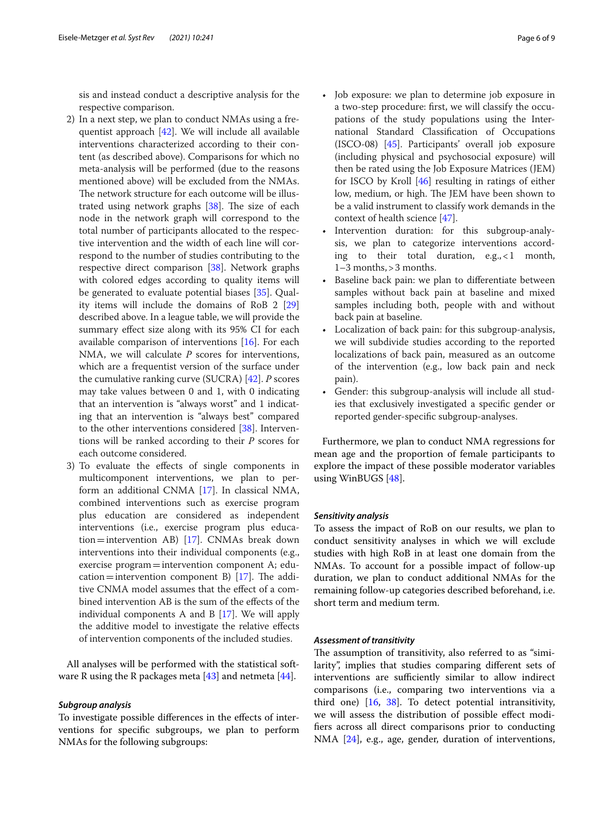sis and instead conduct a descriptive analysis for the respective comparison.

- 2) In a next step, we plan to conduct NMAs using a frequentist approach [[42](#page-8-18)]. We will include all available interventions characterized according to their content (as described above). Comparisons for which no meta-analysis will be performed (due to the reasons mentioned above) will be excluded from the NMAs. The network structure for each outcome will be illustrated using network graphs  $[38]$ . The size of each node in the network graph will correspond to the total number of participants allocated to the respective intervention and the width of each line will correspond to the number of studies contributing to the respective direct comparison [\[38](#page-8-14)]. Network graphs with colored edges according to quality items will be generated to evaluate potential biases [[35\]](#page-8-11). Quality items will include the domains of RoB 2 [[29](#page-8-5)] described above. In a league table, we will provide the summary efect size along with its 95% CI for each available comparison of interventions [[16](#page-7-15)]. For each NMA, we will calculate *P* scores for interventions, which are a frequentist version of the surface under the cumulative ranking curve (SUCRA) [[42](#page-8-18)]. *P* scores may take values between 0 and 1, with 0 indicating that an intervention is "always worst" and 1 indicating that an intervention is "always best" compared to the other interventions considered [[38](#page-8-14)]. Interventions will be ranked according to their *P* scores for each outcome considered.
- 3) To evaluate the efects of single components in multicomponent interventions, we plan to perform an additional CNMA [\[17\]](#page-7-16). In classical NMA, combined interventions such as exercise program plus education are considered as independent interventions (i.e., exercise program plus education=intervention AB) [\[17](#page-7-16)]. CNMAs break down interventions into their individual components (e.g., exercise program=intervention component A; edu-cation=intervention component B) [[17](#page-7-16)]. The additive CNMA model assumes that the efect of a combined intervention AB is the sum of the efects of the individual components A and B  $[17]$ . We will apply the additive model to investigate the relative efects of intervention components of the included studies.

All analyses will be performed with the statistical software R using the R packages meta  $[43]$  $[43]$  and netmeta  $[44]$ .

#### *Subgroup analysis*

To investigate possible diferences in the efects of interventions for specifc subgroups, we plan to perform NMAs for the following subgroups:

- Job exposure: we plan to determine job exposure in a two-step procedure: frst, we will classify the occupations of the study populations using the International Standard Classifcation of Occupations (ISCO-08) [[45](#page-8-21)]. Participants' overall job exposure (including physical and psychosocial exposure) will then be rated using the Job Exposure Matrices (JEM) for ISCO by Kroll [[46\]](#page-8-22) resulting in ratings of either low, medium, or high. The JEM have been shown to be a valid instrument to classify work demands in the context of health science [\[47\]](#page-8-23).
- Intervention duration: for this subgroup-analysis, we plan to categorize interventions according to their total duration, e.g.,<1 month, 1–3 months,>3 months.
- Baseline back pain: we plan to differentiate between samples without back pain at baseline and mixed samples including both, people with and without back pain at baseline.
- Localization of back pain: for this subgroup-analysis, we will subdivide studies according to the reported localizations of back pain, measured as an outcome of the intervention (e.g., low back pain and neck pain).
- Gender: this subgroup-analysis will include all studies that exclusively investigated a specifc gender or reported gender-specifc subgroup-analyses.

Furthermore, we plan to conduct NMA regressions for mean age and the proportion of female participants to explore the impact of these possible moderator variables using WinBUGS [[48](#page-8-24)].

# *Sensitivity analysis*

To assess the impact of RoB on our results, we plan to conduct sensitivity analyses in which we will exclude studies with high RoB in at least one domain from the NMAs. To account for a possible impact of follow-up duration, we plan to conduct additional NMAs for the remaining follow-up categories described beforehand, i.e. short term and medium term.

## *Assessment of transitivity*

The assumption of transitivity, also referred to as "similarity", implies that studies comparing diferent sets of interventions are sufficiently similar to allow indirect comparisons (i.e., comparing two interventions via a third one) [\[16](#page-7-15), [38\]](#page-8-14). To detect potential intransitivity, we will assess the distribution of possible efect modifers across all direct comparisons prior to conducting NMA [\[24\]](#page-8-0), e.g., age, gender, duration of interventions,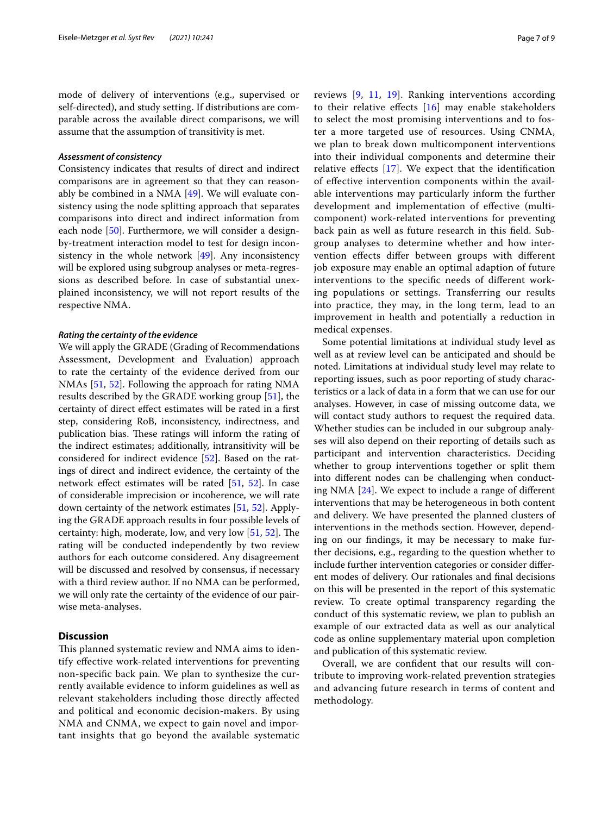mode of delivery of interventions (e.g., supervised or self-directed), and study setting. If distributions are comparable across the available direct comparisons, we will assume that the assumption of transitivity is met.

#### *Assessment of consistency*

Consistency indicates that results of direct and indirect comparisons are in agreement so that they can reasonably be combined in a NMA  $[49]$ . We will evaluate consistency using the node splitting approach that separates comparisons into direct and indirect information from each node [[50](#page-8-26)]. Furthermore, we will consider a designby-treatment interaction model to test for design inconsistency in the whole network [\[49\]](#page-8-25). Any inconsistency will be explored using subgroup analyses or meta-regressions as described before. In case of substantial unexplained inconsistency, we will not report results of the respective NMA.

#### *Rating the certainty of the evidence*

We will apply the GRADE (Grading of Recommendations Assessment, Development and Evaluation) approach to rate the certainty of the evidence derived from our NMAs [[51,](#page-8-27) [52\]](#page-8-28). Following the approach for rating NMA results described by the GRADE working group [[51](#page-8-27)], the certainty of direct efect estimates will be rated in a frst step, considering RoB, inconsistency, indirectness, and publication bias. These ratings will inform the rating of the indirect estimates; additionally, intransitivity will be considered for indirect evidence [\[52](#page-8-28)]. Based on the ratings of direct and indirect evidence, the certainty of the network efect estimates will be rated [[51,](#page-8-27) [52\]](#page-8-28). In case of considerable imprecision or incoherence, we will rate down certainty of the network estimates [[51](#page-8-27), [52](#page-8-28)]. Applying the GRADE approach results in four possible levels of certainty: high, moderate, low, and very low [[51](#page-8-27), [52](#page-8-28)]. The rating will be conducted independently by two review authors for each outcome considered. Any disagreement will be discussed and resolved by consensus, if necessary with a third review author. If no NMA can be performed, we will only rate the certainty of the evidence of our pairwise meta-analyses.

# **Discussion**

This planned systematic review and NMA aims to identify efective work-related interventions for preventing non-specifc back pain. We plan to synthesize the currently available evidence to inform guidelines as well as relevant stakeholders including those directly afected and political and economic decision-makers. By using NMA and CNMA, we expect to gain novel and important insights that go beyond the available systematic reviews [\[9](#page-7-8), [11,](#page-7-10) [19](#page-7-19)]. Ranking interventions according to their relative effects  $[16]$  $[16]$  may enable stakeholders to select the most promising interventions and to foster a more targeted use of resources. Using CNMA, we plan to break down multicomponent interventions into their individual components and determine their relative efects [\[17\]](#page-7-16). We expect that the identifcation of efective intervention components within the available interventions may particularly inform the further development and implementation of efective (multicomponent) work-related interventions for preventing back pain as well as future research in this feld. Subgroup analyses to determine whether and how intervention efects difer between groups with diferent job exposure may enable an optimal adaption of future interventions to the specifc needs of diferent working populations or settings. Transferring our results into practice, they may, in the long term, lead to an improvement in health and potentially a reduction in medical expenses.

Some potential limitations at individual study level as well as at review level can be anticipated and should be noted. Limitations at individual study level may relate to reporting issues, such as poor reporting of study characteristics or a lack of data in a form that we can use for our analyses. However, in case of missing outcome data, we will contact study authors to request the required data. Whether studies can be included in our subgroup analyses will also depend on their reporting of details such as participant and intervention characteristics. Deciding whether to group interventions together or split them into diferent nodes can be challenging when conducting NMA [[24](#page-8-0)]. We expect to include a range of diferent interventions that may be heterogeneous in both content and delivery. We have presented the planned clusters of interventions in the methods section. However, depending on our fndings, it may be necessary to make further decisions, e.g., regarding to the question whether to include further intervention categories or consider diferent modes of delivery. Our rationales and fnal decisions on this will be presented in the report of this systematic review. To create optimal transparency regarding the conduct of this systematic review, we plan to publish an example of our extracted data as well as our analytical code as online supplementary material upon completion and publication of this systematic review.

Overall, we are confdent that our results will contribute to improving work-related prevention strategies and advancing future research in terms of content and methodology.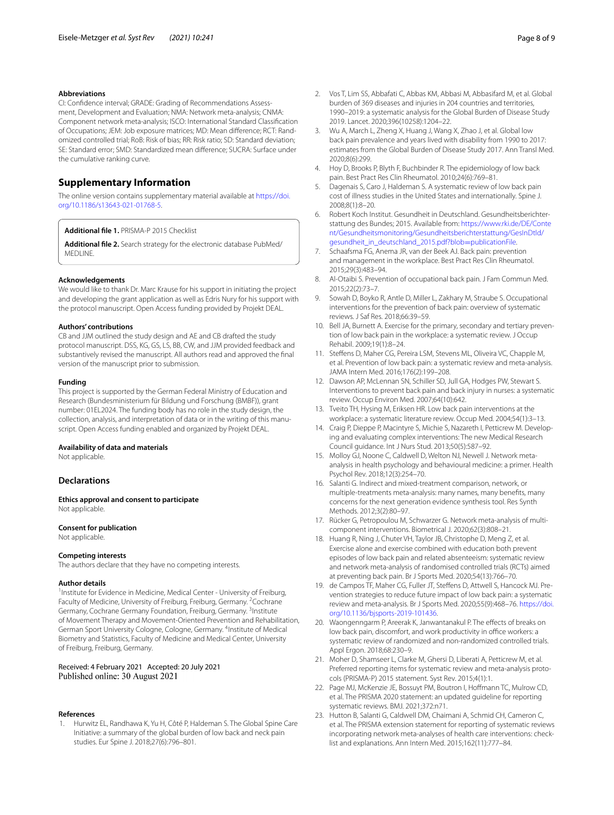#### **Abbreviations**

CI: Confidence interval; GRADE: Grading of Recommendations Assessment, Development and Evaluation; NMA: Network meta-analysis; CNMA: Component network meta-analysis; ISCO: International Standard Classifcation of Occupations; JEM: Job exposure matrices; MD: Mean diference; RCT: Rand‑ omized controlled trial; RoB: Risk of bias; RR: Risk ratio; SD: Standard deviation; SE: Standard error; SMD: Standardized mean diference; SUCRA: Surface under the cumulative ranking curve.

# **Supplementary Information**

The online version contains supplementary material available at [https://doi.](https://doi.org/10.1186/s13643-021-01768-5) [org/10.1186/s13643-021-01768-5](https://doi.org/10.1186/s13643-021-01768-5).

<span id="page-7-24"></span><span id="page-7-21"></span>**Additional fle 1.** PRISMA-P 2015 Checklist

**Additional fle 2.** Search strategy for the electronic database PubMed/ **MEDLINE** 

#### **Acknowledgements**

We would like to thank Dr. Marc Krause for his support in initiating the project and developing the grant application as well as Edris Nury for his support with the protocol manuscript. Open Access funding provided by Projekt DEAL.

#### **Authors' contributions**

CB and JJM outlined the study design and AE and CB drafted the study protocol manuscript. DSS, KG, GS, LS, BB, CW, and JJM provided feedback and substantively revised the manuscript. All authors read and approved the fnal version of the manuscript prior to submission.

#### **Funding**

This project is supported by the German Federal Ministry of Education and Research (Bundesministerium für Bildung und Forschung (BMBF)), grant number: 01EL2024. The funding body has no role in the study design, the collection, analysis, and interpretation of data or in the writing of this manuscript. Open Access funding enabled and organized by Projekt DEAL.

## **Availability of data and materials**

Not applicable.

#### **Declarations**

**Ethics approval and consent to participate** Not applicable.

#### **Consent for publication**

Not applicable.

#### **Competing interests**

The authors declare that they have no competing interests.

#### **Author details**

<sup>1</sup> Institute for Evidence in Medicine, Medical Center - University of Freiburg, Faculty of Medicine, University of Freiburg, Freiburg, Germany. <sup>2</sup> Cochrane Germany, Cochrane Germany Foundation, Freiburg, Germany. <sup>3</sup>Institute of Movement Therapy and Movement‑Oriented Prevention and Rehabilitation, German Sport University Cologne, Cologne, Germany. <sup>4</sup>Institute of Medical Biometry and Statistics, Faculty of Medicine and Medical Center, University of Freiburg, Freiburg, Germany.

#### Received: 4 February 2021 Accepted: 20 July 2021 Published online: 30 August 2021

#### **References**

<span id="page-7-0"></span>1. Hurwitz EL, Randhawa K, Yu H, Côté P, Haldeman S. The Global Spine Care Initiative: a summary of the global burden of low back and neck pain studies. Eur Spine J. 2018;27(6):796–801.

- <span id="page-7-1"></span>2. Vos T, Lim SS, Abbafati C, Abbas KM, Abbasi M, Abbasifard M, et al. Global burden of 369 diseases and injuries in 204 countries and territories, 1990–2019: a systematic analysis for the Global Burden of Disease Study 2019. Lancet. 2020;396(10258):1204–22.
- <span id="page-7-2"></span>3. Wu A, March L, Zheng X, Huang J, Wang X, Zhao J, et al. Global low back pain prevalence and years lived with disability from 1990 to 2017: estimates from the Global Burden of Disease Study 2017. Ann Transl Med. 2020;8(6):299.
- <span id="page-7-3"></span>4. Hoy D, Brooks P, Blyth F, Buchbinder R. The epidemiology of low back pain. Best Pract Res Clin Rheumatol. 2010;24(6):769–81.
- <span id="page-7-4"></span>5. Dagenais S, Caro J, Haldeman S. A systematic review of low back pain cost of illness studies in the United States and internationally. Spine J. 2008;8(1):8–20.
- <span id="page-7-5"></span>6. Robert Koch Institut. Gesundheit in Deutschland. Gesundheitsberichter‑ stattung des Bundes; 2015. Available from: [https://www.rki.de/DE/Conte](https://www.rki.de/DE/Content/Gesundheitsmonitoring/Gesundheitsberichterstattung/GesInDtld/gesundheit_in_deutschland_2015.pdf?blob=publicationFile) [nt/Gesundheitsmonitoring/Gesundheitsberichterstattung/GesInDtld/](https://www.rki.de/DE/Content/Gesundheitsmonitoring/Gesundheitsberichterstattung/GesInDtld/gesundheit_in_deutschland_2015.pdf?blob=publicationFile) [gesundheit\\_in\\_deutschland\\_2015.pdf?blob](https://www.rki.de/DE/Content/Gesundheitsmonitoring/Gesundheitsberichterstattung/GesInDtld/gesundheit_in_deutschland_2015.pdf?blob=publicationFile)=publicationFile.
- <span id="page-7-6"></span>7. Schaafsma FG, Anema JR, van der Beek AJ. Back pain: prevention and management in the workplace. Best Pract Res Clin Rheumatol. 2015;29(3):483–94.
- <span id="page-7-7"></span>8. Al-Otaibi S. Prevention of occupational back pain. J Fam Commun Med. 2015;22(2):73–7.
- <span id="page-7-8"></span>9. Sowah D, Boyko R, Antle D, Miller L, Zakhary M, Straube S. Occupational interventions for the prevention of back pain: overview of systematic reviews. J Saf Res. 2018;66:39–59.
- <span id="page-7-9"></span>10. Bell JA, Burnett A. Exercise for the primary, secondary and tertiary prevention of low back pain in the workplace: a systematic review. J Occup Rehabil. 2009;19(1):8–24.
- <span id="page-7-10"></span>11. Stefens D, Maher CG, Pereira LSM, Stevens ML, Oliveira VC, Chapple M, et al. Prevention of low back pain: a systematic review and meta-analysis. JAMA Intern Med. 2016;176(2):199–208.
- <span id="page-7-11"></span>12. Dawson AP, McLennan SN, Schiller SD, Jull GA, Hodges PW, Stewart S. Interventions to prevent back pain and back injury in nurses: a systematic review. Occup Environ Med. 2007;64(10):642.
- <span id="page-7-12"></span>13. Tveito TH, Hysing M, Eriksen HR. Low back pain interventions at the workplace: a systematic literature review. Occup Med. 2004;54(1):3–13.
- <span id="page-7-13"></span>14. Craig P, Dieppe P, Macintyre S, Michie S, Nazareth I, Petticrew M. Developing and evaluating complex interventions: The new Medical Research Council guidance. Int J Nurs Stud. 2013;50(5):587–92.
- <span id="page-7-14"></span>15. Molloy GJ, Noone C, Caldwell D, Welton NJ, Newell J. Network metaanalysis in health psychology and behavioural medicine: a primer. Health Psychol Rev. 2018;12(3):254–70.
- <span id="page-7-15"></span>16. Salanti G. Indirect and mixed-treatment comparison, network, or multiple-treatments meta-analysis: many names, many benefts, many concerns for the next generation evidence synthesis tool. Res Synth Methods. 2012;3(2):80–97.
- <span id="page-7-16"></span>17. Rücker G, Petropoulou M, Schwarzer G. Network meta-analysis of multicomponent interventions. Biometrical J. 2020;62(3):808–21.
- <span id="page-7-17"></span>18. Huang R, Ning J, Chuter VH, Taylor JB, Christophe D, Meng Z, et al. Exercise alone and exercise combined with education both prevent episodes of low back pain and related absenteeism: systematic review and network meta-analysis of randomised controlled trials (RCTs) aimed at preventing back pain. Br J Sports Med. 2020;54(13):766–70.
- <span id="page-7-19"></span>19. de Campos TF, Maher CG, Fuller JT, Steffens D, Attwell S, Hancock MJ. Prevention strategies to reduce future impact of low back pain: a systematic review and meta-analysis. Br J Sports Med. 2020;55(9):468–76. [https://doi.](https://doi.org/10.1136/bjsports-2019-101436) [org/10.1136/bjsports-2019-101436.](https://doi.org/10.1136/bjsports-2019-101436)
- <span id="page-7-18"></span>20. Waongenngarm P, Areerak K, Janwantanakul P. The effects of breaks on low back pain, discomfort, and work productivity in office workers: a systematic review of randomized and non-randomized controlled trials. Appl Ergon. 2018;68:230–9.
- <span id="page-7-20"></span>21. Moher D, Shamseer L, Clarke M, Ghersi D, Liberati A, Petticrew M, et al. Preferred reporting items for systematic review and meta-analysis protocols (PRISMA-P) 2015 statement. Syst Rev. 2015;4(1):1.
- <span id="page-7-22"></span>22. Page MJ, McKenzie JE, Bossuyt PM, Boutron I, Hofmann TC, Mulrow CD, et al. The PRISMA 2020 statement: an updated guideline for reporting systematic reviews. BMJ. 2021;372:n71.
- <span id="page-7-23"></span>23. Hutton B, Salanti G, Caldwell DM, Chaimani A, Schmid CH, Cameron C, et al. The PRISMA extension statement for reporting of systematic reviews incorporating network meta-analyses of health care interventions: checklist and explanations. Ann Intern Med. 2015;162(11):777–84.